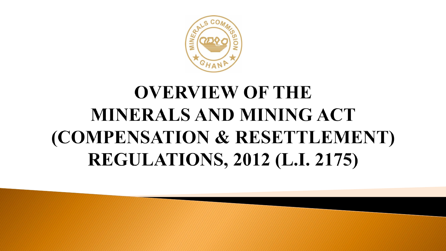

# **OVERVIEW OF THE** MINERALS AND MINING ACT (COMPENSATION & RESETTLEMENT) **REGULATIONS, 2012 (L.I. 2175)**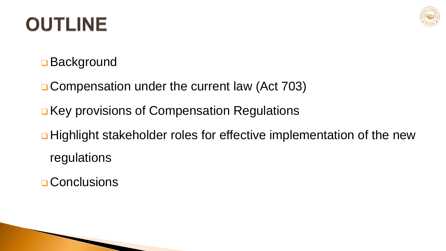# OUTLINE



**Background** 

**□ Compensation under the current law (Act 703)** 

- **□ Key provisions of Compensation Regulations**
- **□ Highlight stakeholder roles for effective implementation of the new** regulations
- **Q** Conclusions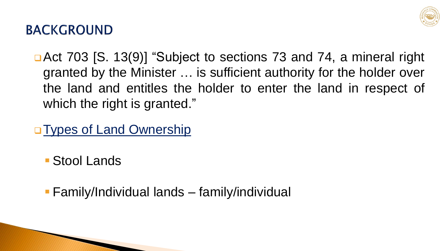

#### **BACKGROUND**

- **□ Act 703 [S. 13(9)] "Subject to sections 73 and 74, a mineral right** granted by the Minister … is sufficient authority for the holder over the land and entitles the holder to enter the land in respect of which the right is granted."
- **Types of Land Ownership** 
	- Stool Lands
	- Family/Individual lands family/individual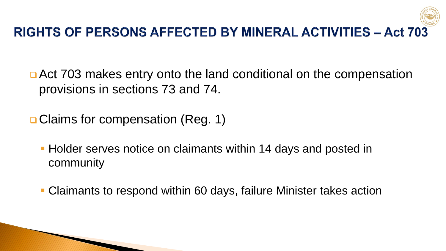

■ Act 703 makes entry onto the land conditional on the compensation provisions in sections 73 and 74.

**□ Claims for compensation (Reg. 1)** 

WWW

**Holder serves notice on claimants within 14 days and posted in** community

Claimants to respond within 60 days, failure Minister takes action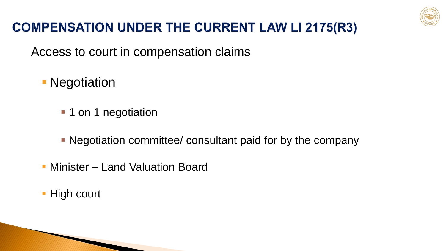

### **COMPENSATION UNDER THE CURRENT LAW LI 2175(R3)**

Access to court in compensation claims

- **Negotiation** 
	- 1 on 1 negotiation
	- Negotiation committee/ consultant paid for by the company
- **Minister Land Valuation Board**
- **High court**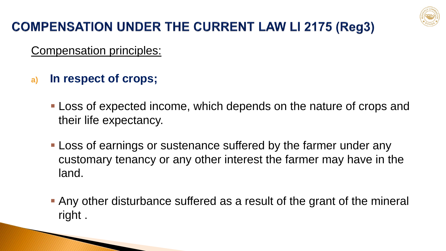

## **COMPENSATION UNDER THE CURRENT LAW LI 2175 (Reg3)**

Compensation principles:

**a) In respect of crops;**

**MARCONS** 

- Loss of expected income, which depends on the nature of crops and their life expectancy.
- **Loss of earnings or sustenance suffered by the farmer under any** customary tenancy or any other interest the farmer may have in the land.
- Any other disturbance suffered as a result of the grant of the mineral right .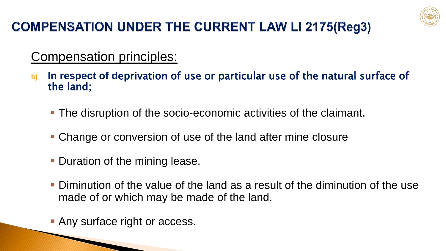

## **COMPENSATION UNDER THE CURRENT LAW LI 2175(Reg3)**

#### Compensation principles:

- **b) In respect of d**eprivation of use or particular use of the natural surface of the land;
	- The disruption of the socio-economic activities of the claimant.
	- Change or conversion of use of the land after mine closure
	- **Duration of the mining lease.**
	- Diminution of the value of the land as a result of the diminution of the use made of or which may be made of the land.
	- **Any surface right or access.**

**ANARET COMMUNISTIC**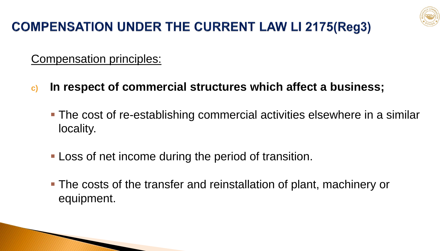

## **COMPENSATION UNDER THE CURRENT LAW LI 2175(Reg3)**

Compensation principles:

**ANTIQUES** 

- **c) In respect of commercial structures which affect a business;**
	- The cost of re-establishing commercial activities elsewhere in a similar locality.
	- **-Loss of net income during the period of transition.**
	- The costs of the transfer and reinstallation of plant, machinery or equipment.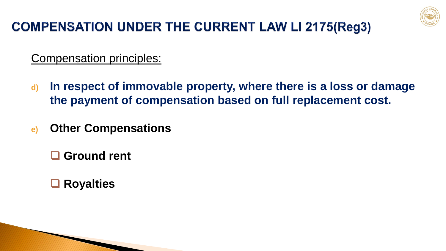

## **COMPENSATION UNDER THE CURRENT LAW LI 2175(Reg3)**

Compensation principles:

- **d) In respect of immovable property, where there is a loss or damage the payment of compensation based on full replacement cost.**
- **e) Other Compensations**

**Ground rent**

**Royalties**

**MODELLE**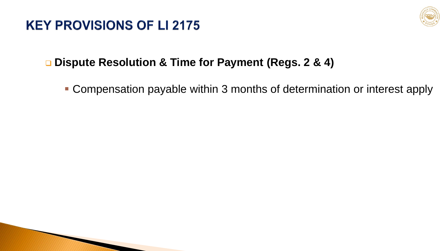#### **KEY PROVISIONS OF LI 2175**



#### **Dispute Resolution & Time for Payment (Regs. 2 & 4)**

■ Compensation payable within 3 months of determination or interest apply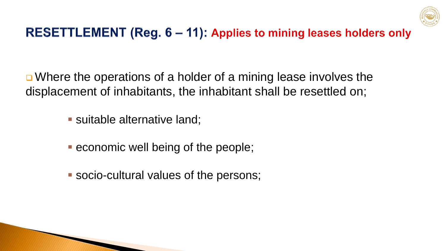

### RESETTLEMENT (Reg. 6 - 11): Applies to mining leases holders only

**□** Where the operations of a holder of a mining lease involves the displacement of inhabitants, the inhabitant shall be resettled on;

- **Suitable alternative land;**
- **E** economic well being of the people;
- socio-cultural values of the persons;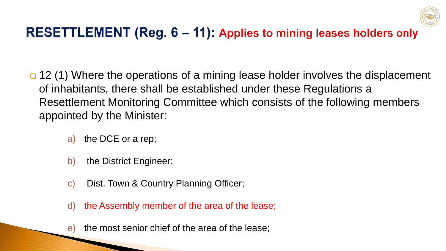

### RESETTLEMENT (Reg. 6 – 11): Applies to mining leases holders only

 12 (1) Where the operations of a mining lease holder involves the displacement of inhabitants, there shall be established under these Regulations a Resettlement Monitoring Committee which consists of the following members appointed by the Minister:

- a) the DCE or a rep;
- b) the District Engineer;
- c) Dist. Town & Country Planning Officer;
- d) the Assembly member of the area of the lease;
- e) the most senior chief of the area of the lease;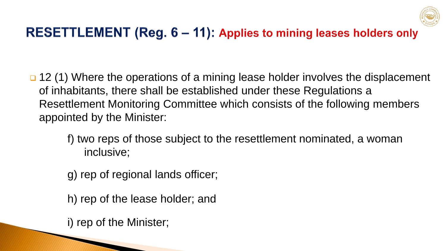

### RESETTLEMENT (Reg. 6 – 11): Applies to mining leases holders only

- 12 (1) Where the operations of a mining lease holder involves the displacement of inhabitants, there shall be established under these Regulations a Resettlement Monitoring Committee which consists of the following members appointed by the Minister:
	- f) two reps of those subject to the resettlement nominated, a woman inclusive;
	- g) rep of regional lands officer;
	- h) rep of the lease holder; and

i) rep of the Minister;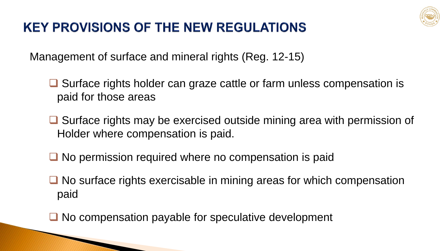

#### **KEY PROVISIONS OF THE NEW REGULATIONS**

Management of surface and mineral rights (Reg. 12-15)

 $\Box$  Surface rights holder can graze cattle or farm unless compensation is paid for those areas

 $\Box$  Surface rights may be exercised outside mining area with permission of Holder where compensation is paid.

 $\Box$  No permission required where no compensation is paid

 $\Box$  No surface rights exercisable in mining areas for which compensation paid

 $\Box$  No compensation payable for speculative development

**ANYONE COMMON PROPERTY**